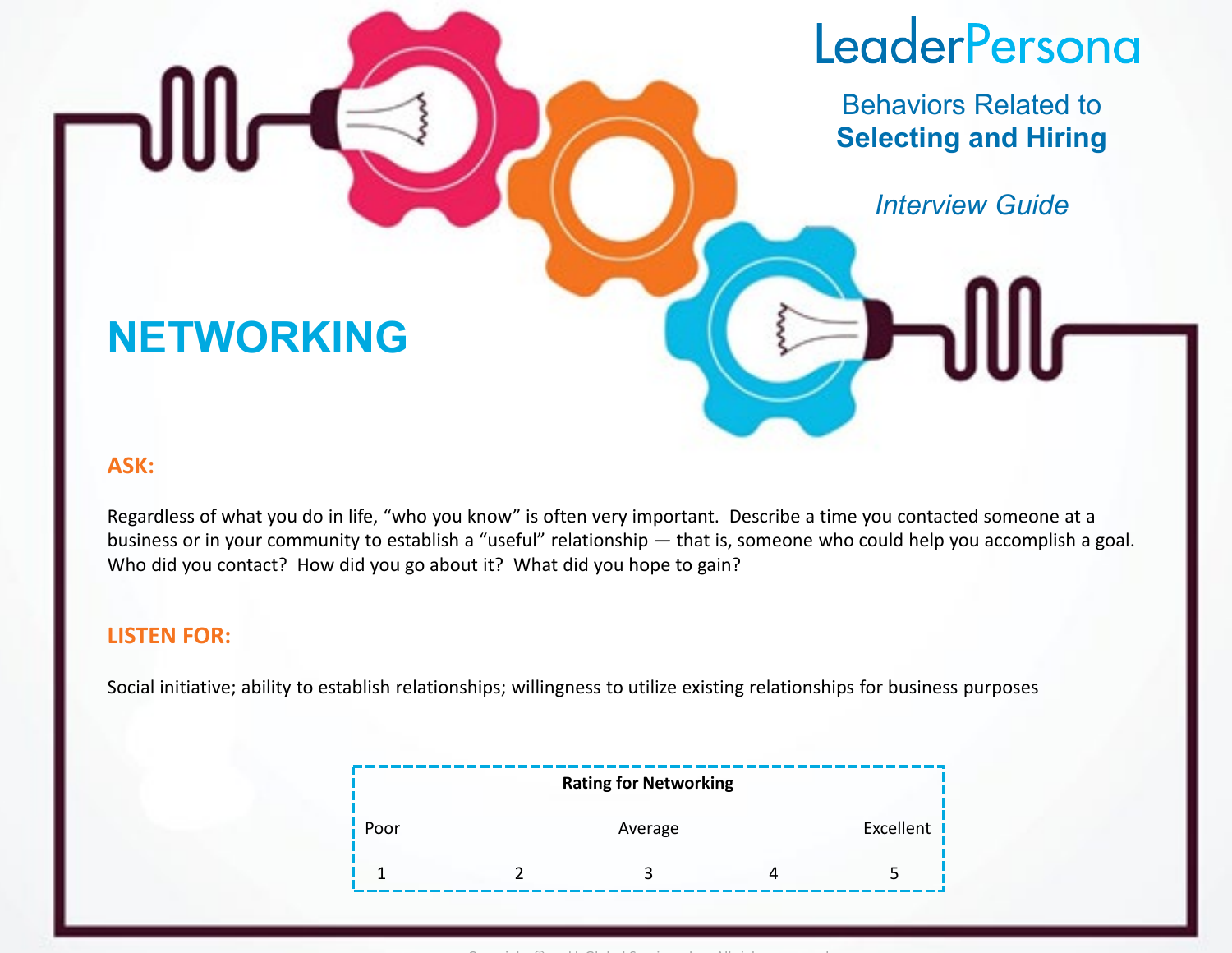Behaviors Related to **Selecting and Hiring**

*Interview Guide*

### **NETWORKING**

#### **ASK:**

Regardless of what you do in life, "who you know" is often very important. Describe a time you contacted someone at a business or in your community to establish a "useful" relationship — that is, someone who could help you accomplish a goal. Who did you contact? How did you go about it? What did you hope to gain?

#### **LISTEN FOR:**

Social initiative; ability to establish relationships; willingness to utilize existing relationships for business purposes

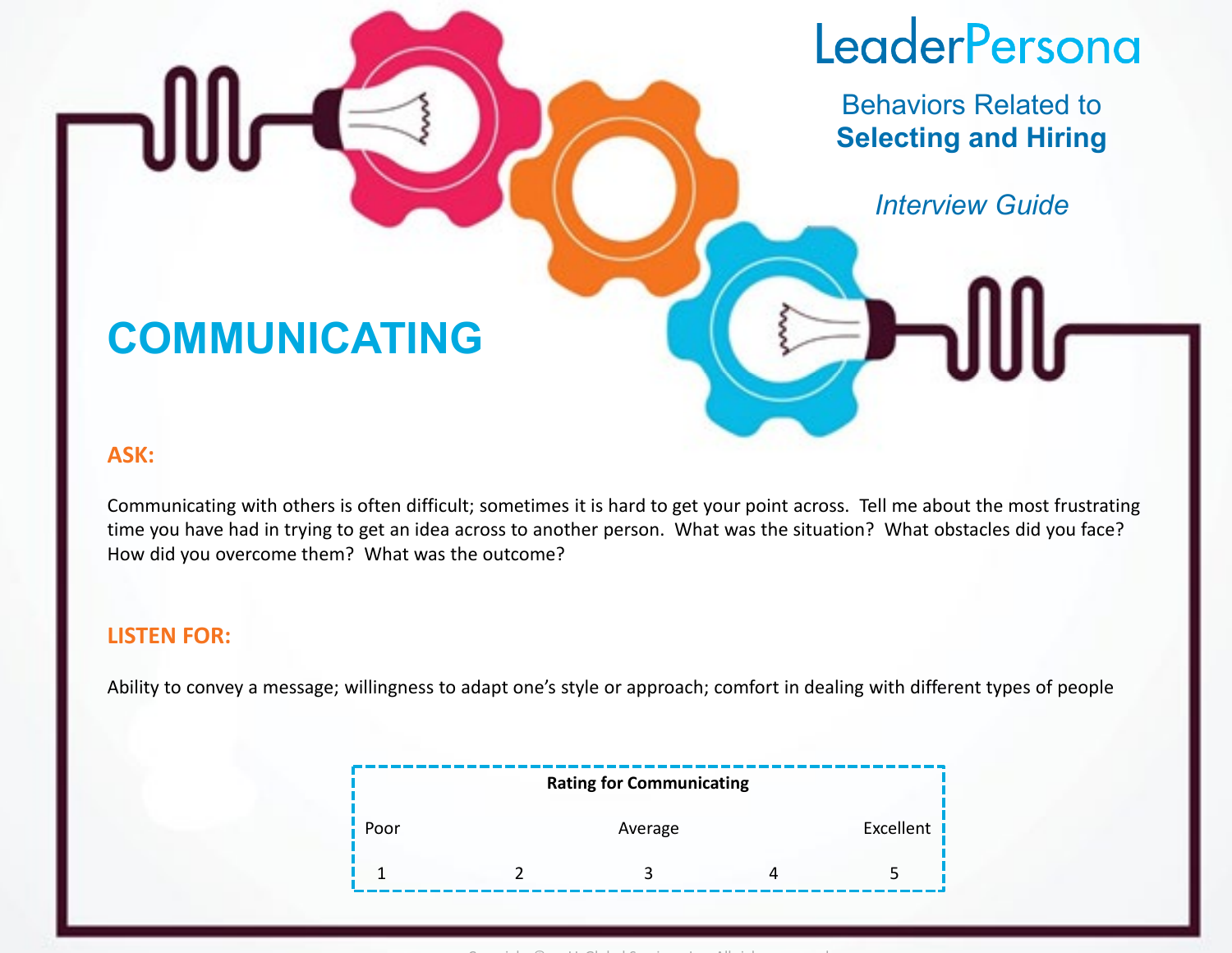Behaviors Related to **Selecting and Hiring**

*Interview Guide*

### **COMMUNICATING**

#### **ASK:**

Communicating with others is often difficult; sometimes it is hard to get your point across. Tell me about the most frustrating time you have had in trying to get an idea across to another person. What was the situation? What obstacles did you face? How did you overcome them? What was the outcome?

#### **LISTEN FOR:**

Ability to convey a message; willingness to adapt one's style or approach; comfort in dealing with different types of people

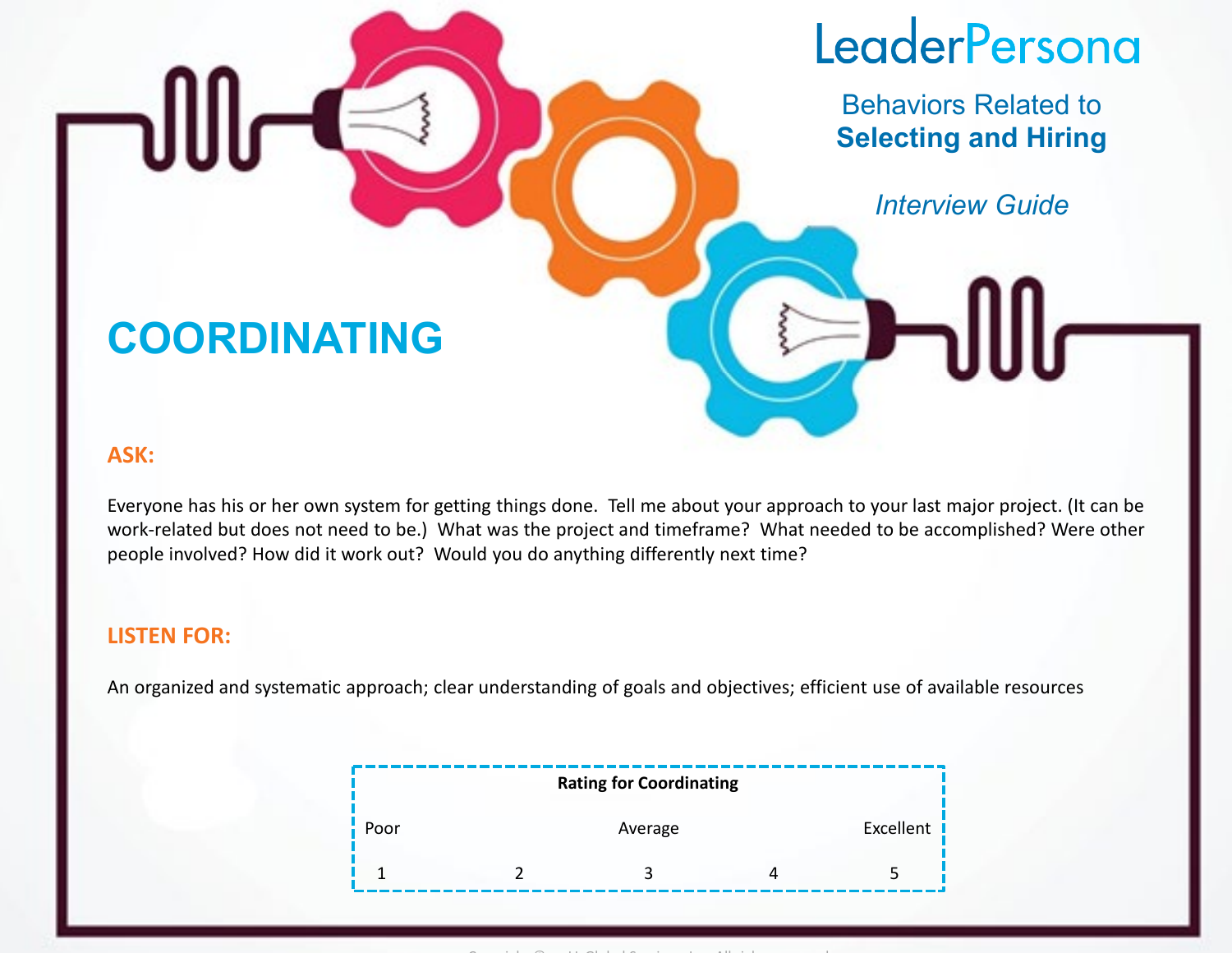Behaviors Related to **Selecting and Hiring**

*Interview Guide*

### **COORDINATING**

#### **ASK:**

Everyone has his or her own system for getting things done. Tell me about your approach to your last major project. (It can be work-related but does not need to be.) What was the project and timeframe? What needed to be accomplished? Were other people involved? How did it work out? Would you do anything differently next time?

#### **LISTEN FOR:**

An organized and systematic approach; clear understanding of goals and objectives; efficient use of available resources

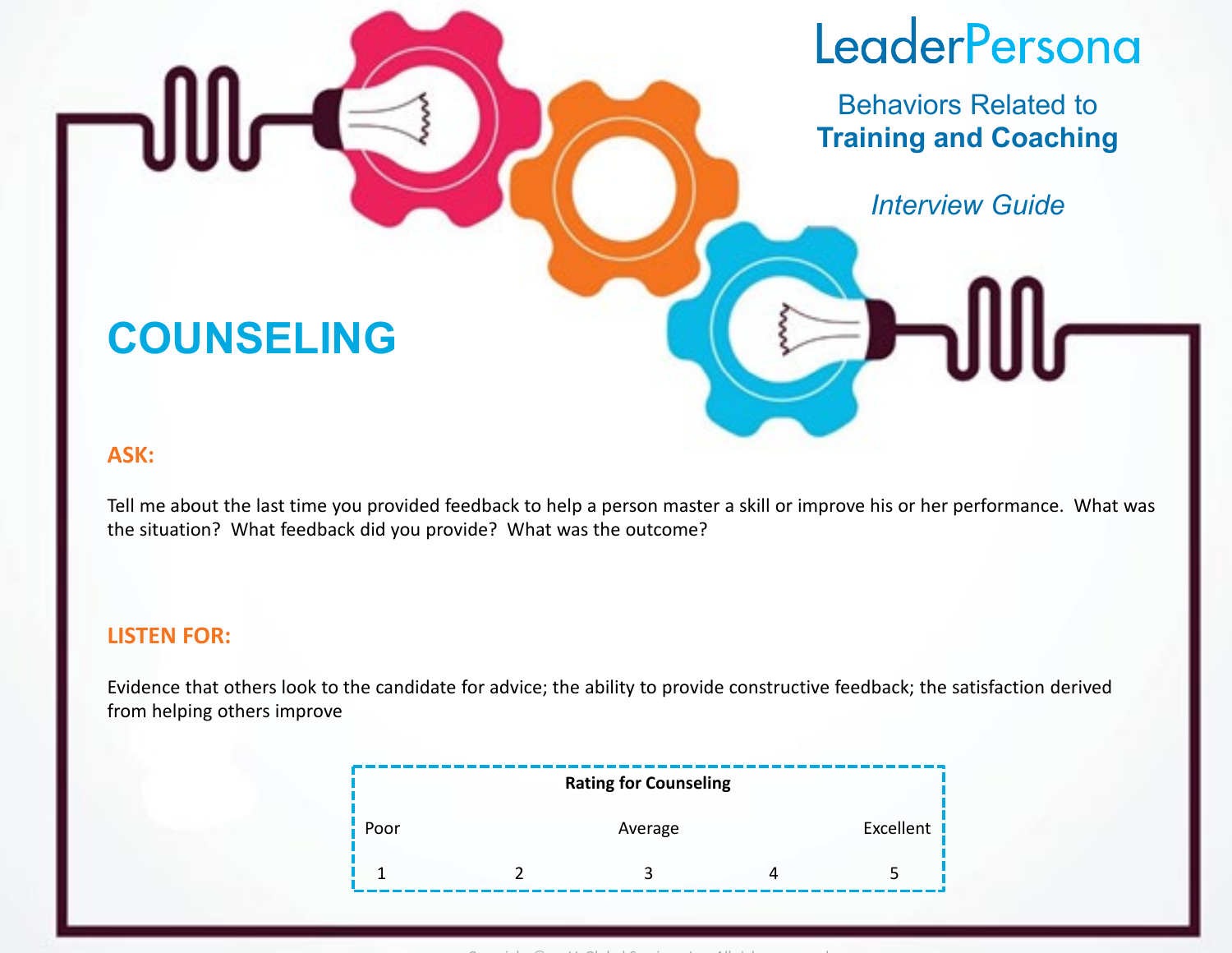Behaviors Related to **Training and Coaching**

*Interview Guide*

### **COUNSELING**

#### **ASK:**

Tell me about the last time you provided feedback to help a person master a skill or improve his or her performance. What was the situation? What feedback did you provide? What was the outcome?

#### **LISTEN FOR:**

Evidence that others look to the candidate for advice; the ability to provide constructive feedback; the satisfaction derived from helping others improve

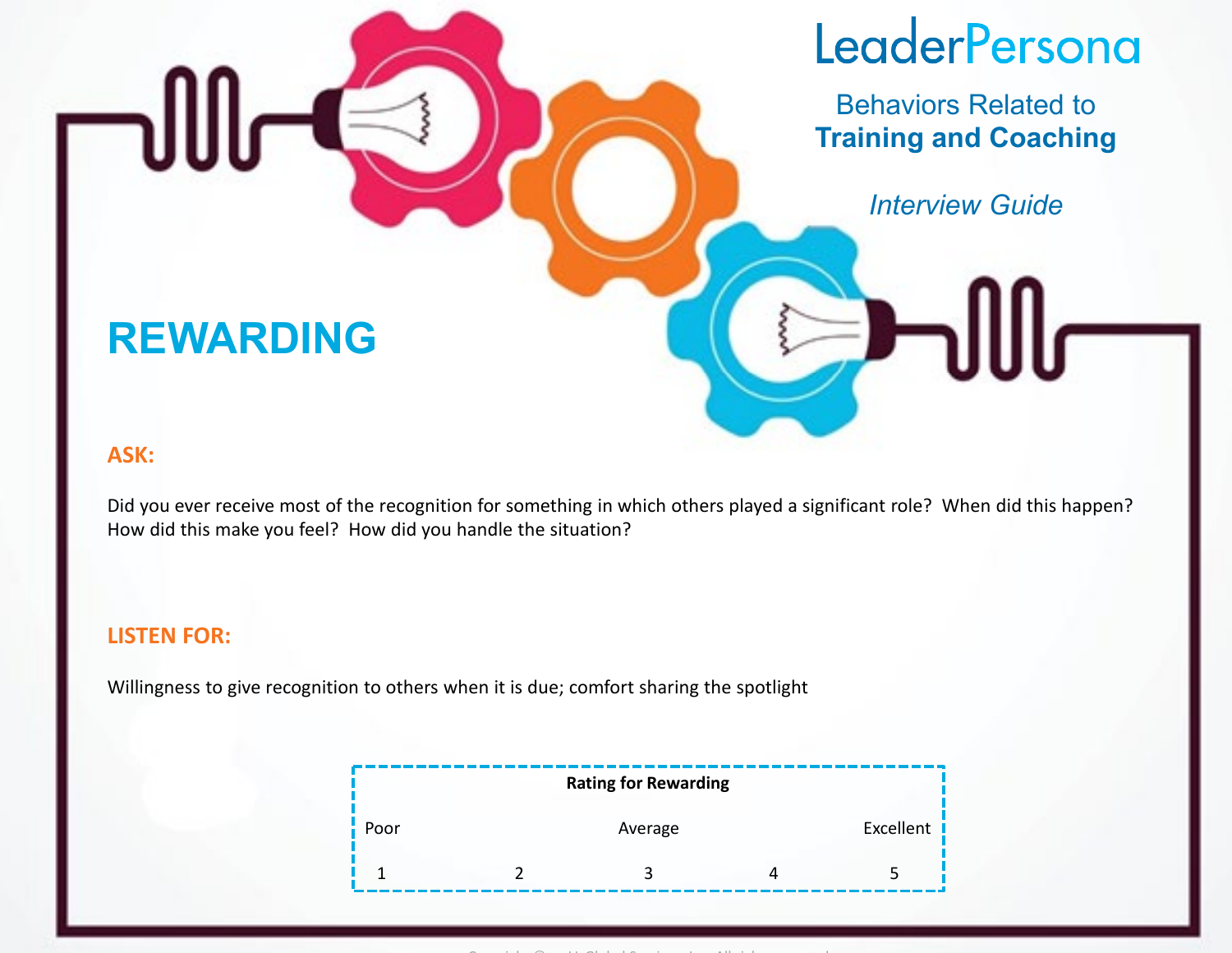Behaviors Related to **Training and Coaching**

*Interview Guide*

### **REWARDING**

#### **ASK:**

Did you ever receive most of the recognition for something in which others played a significant role? When did this happen? How did this make you feel? How did you handle the situation?

#### **LISTEN FOR:**

Willingness to give recognition to others when it is due; comfort sharing the spotlight

|     | <b>Rating for Rewarding</b> |             |
|-----|-----------------------------|-------------|
| oor | Average                     | Excellent I |
|     |                             |             |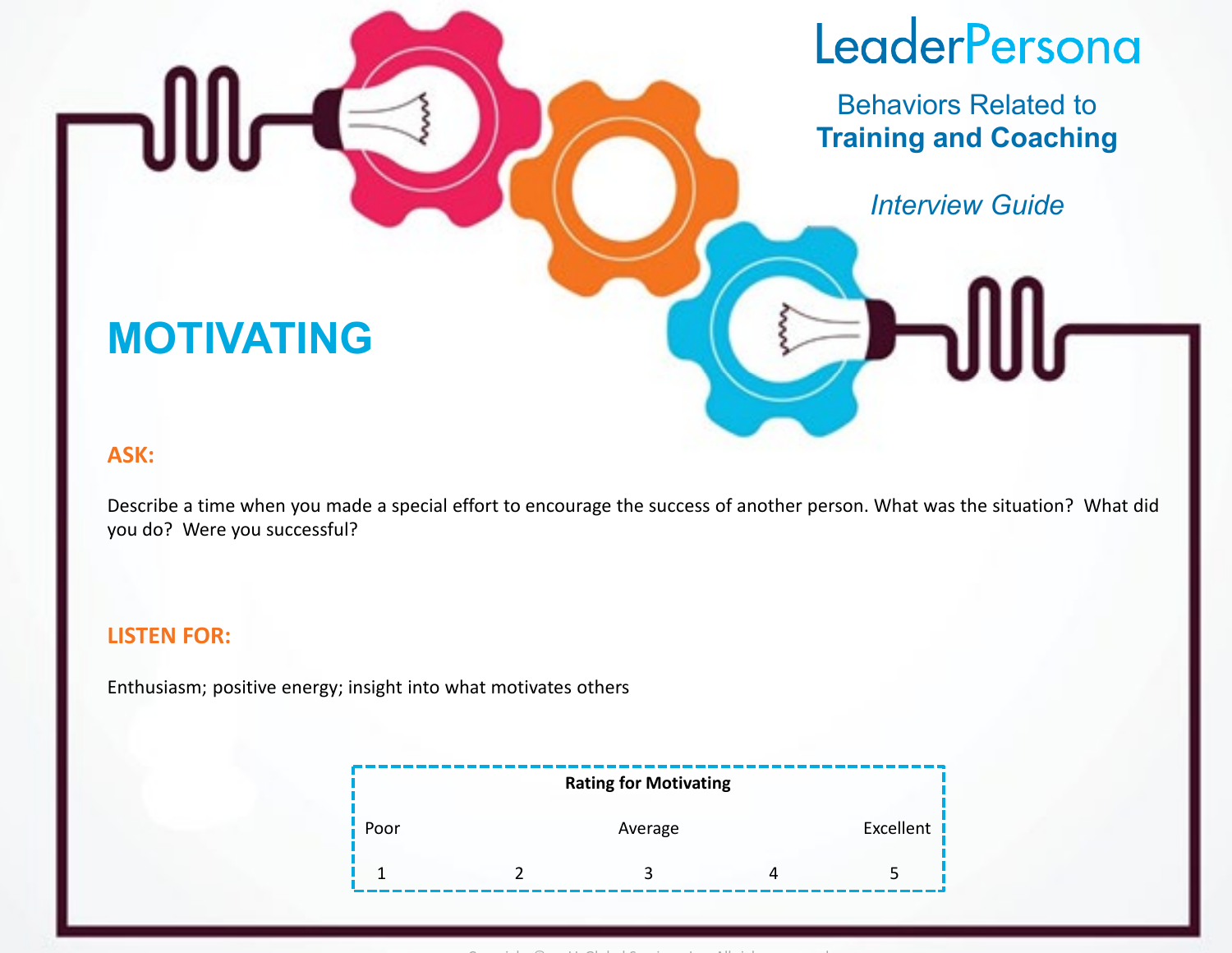Behaviors Related to **Training and Coaching**

*Interview Guide*

### **MOTIVATING**

#### **ASK:**

Describe a time when you made a special effort to encourage the success of another person. What was the situation? What did you do? Were you successful?

#### **LISTEN FOR:**

Enthusiasm; positive energy; insight into what motivates others

|      |  | <b>Rating for Motivating</b> |             |
|------|--|------------------------------|-------------|
| 'oor |  | Average                      | Excellent I |
|      |  |                              |             |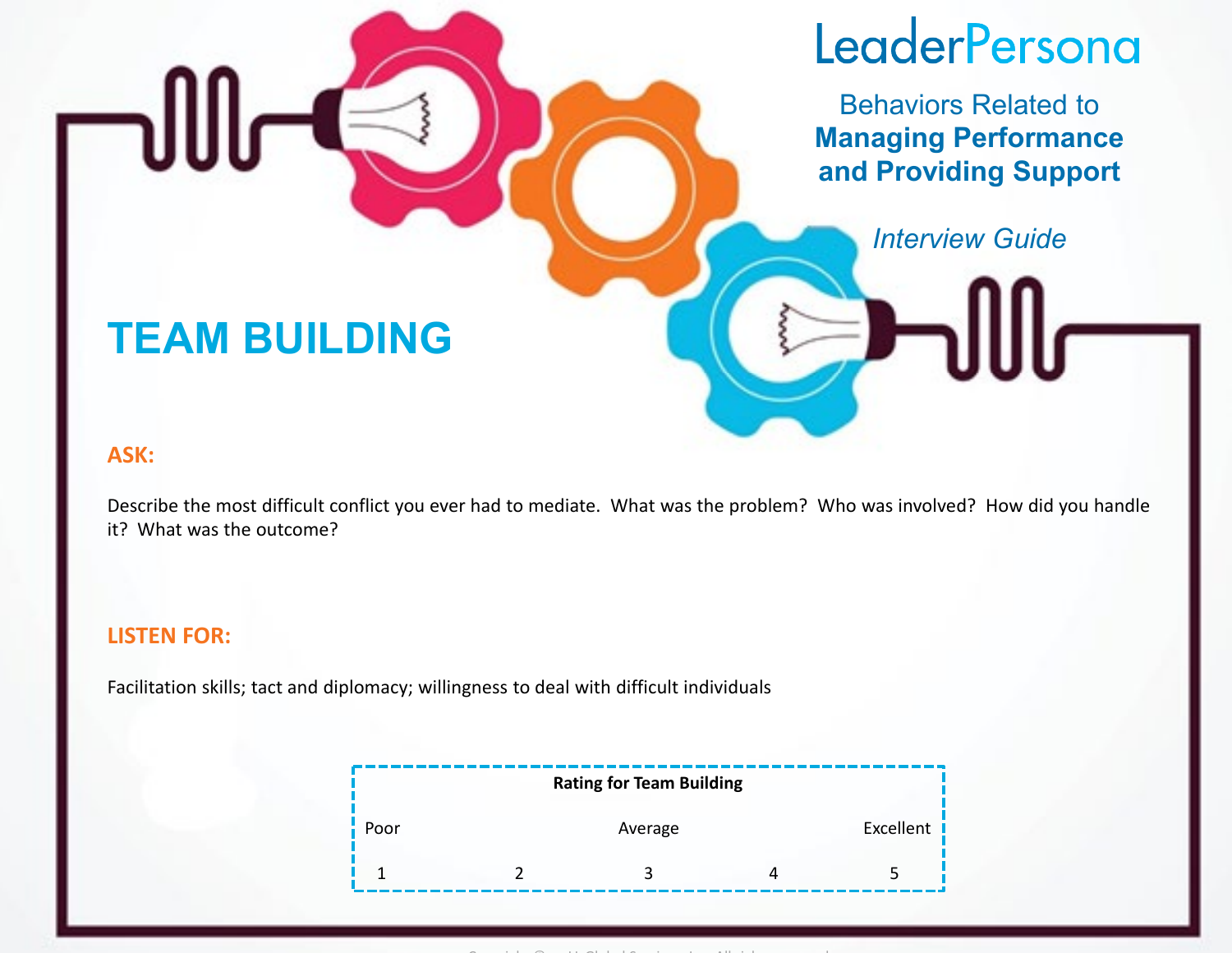Behaviors Related to **Managing Performance and Providing Support**

### *Interview Guide*

### **TEAM BUILDING**

#### **ASK:**

Describe the most difficult conflict you ever had to mediate. What was the problem? Who was involved? How did you handle it? What was the outcome?

#### **LISTEN FOR:**

Facilitation skills; tact and diplomacy; willingness to deal with difficult individuals

| <b>Rating for Team Building</b> |  |         |  |           |
|---------------------------------|--|---------|--|-----------|
| oor'                            |  | Average |  | Excellent |
|                                 |  |         |  |           |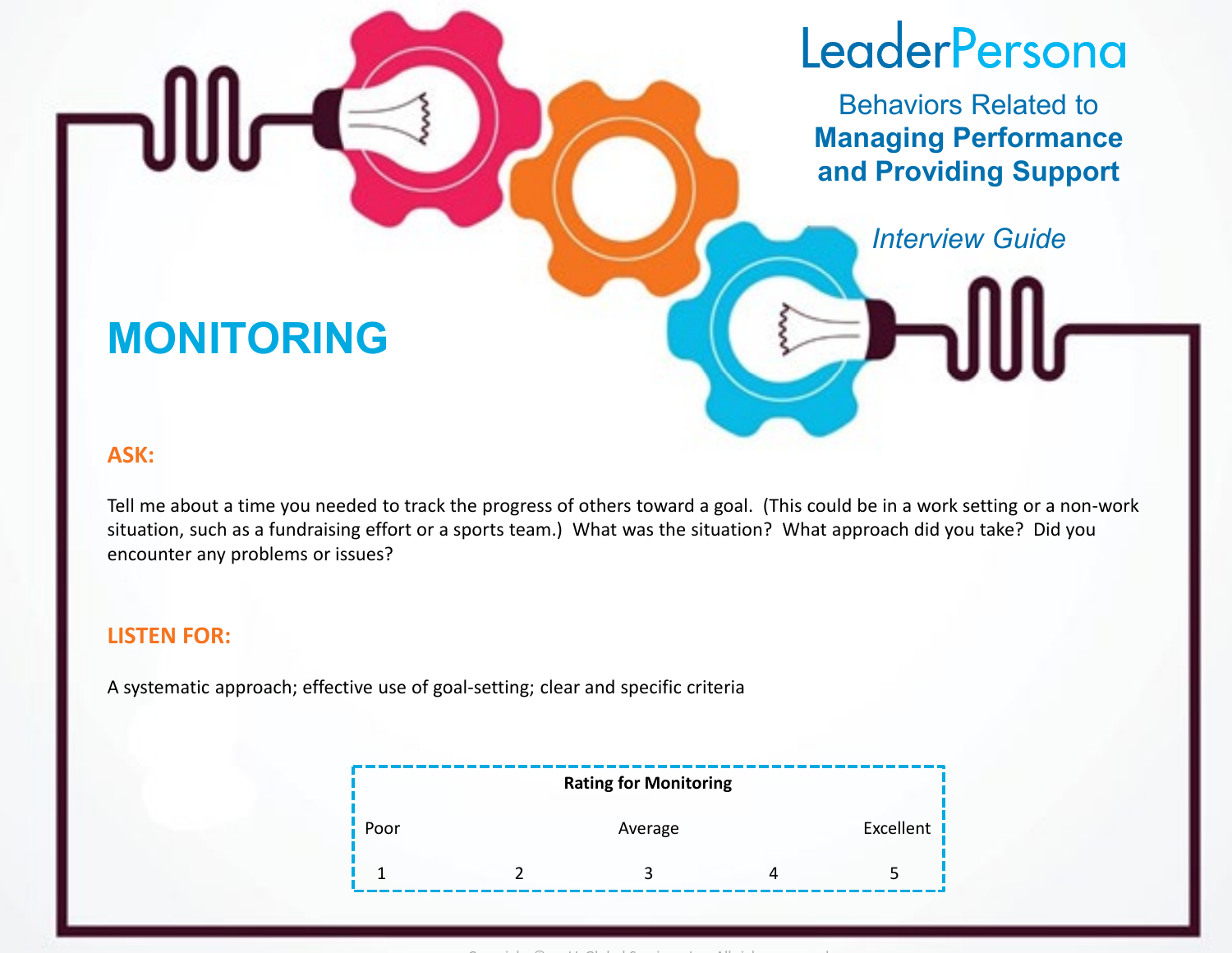Behaviors Related to **Managing Performance and Providing Support**

*Interview Guide*

### **MONITORING**

#### **ASK:**

Tell me about a time you needed to track the progress of others toward a goal. (This could be in a work setting or a non-work situation, such as a fundraising effort or a sports team.) What was the situation? What approach did you take? Did you encounter any problems or issues?

#### **LISTEN FOR:**

A systematic approach; effective use of goal-setting; clear and specific criteria

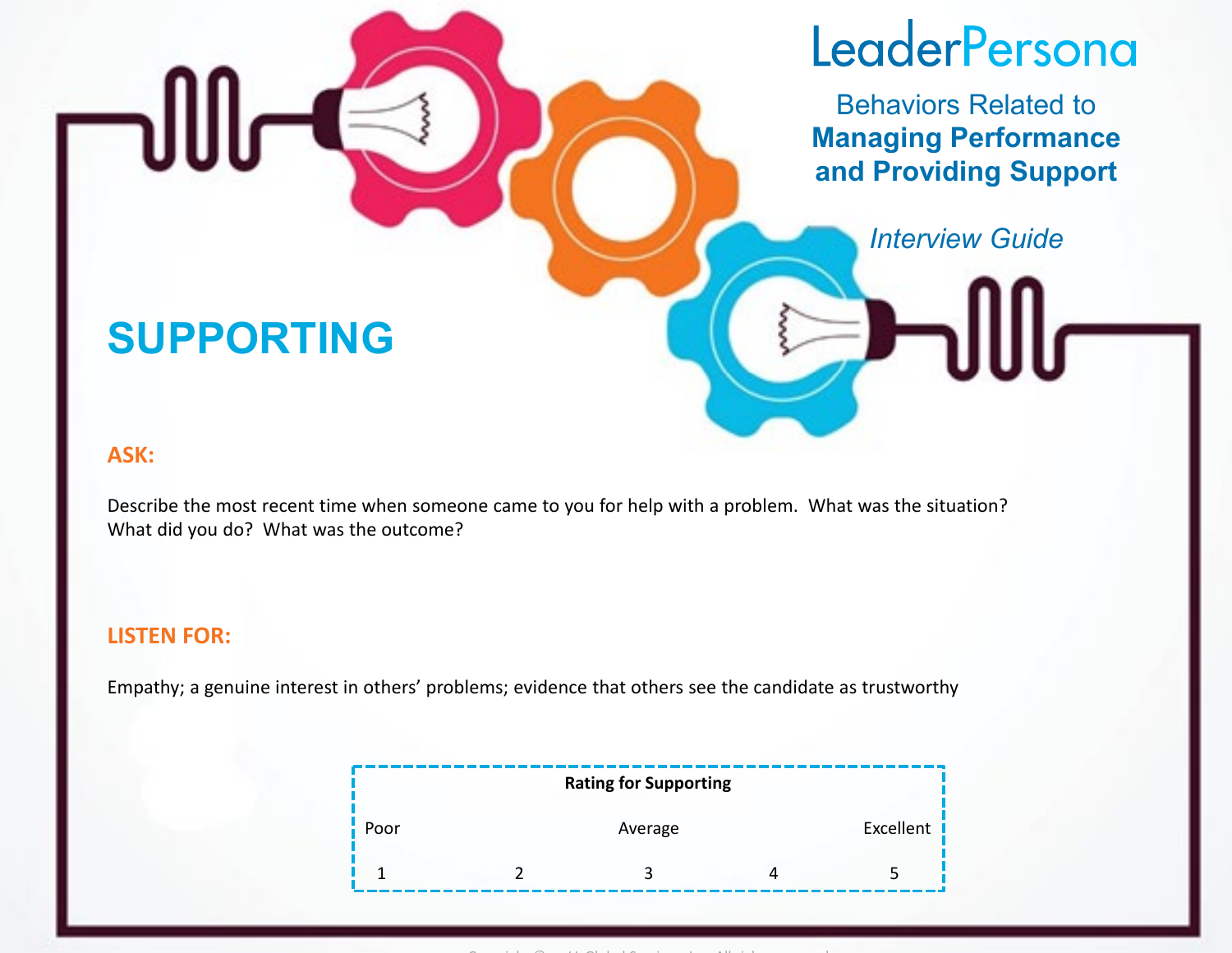Behaviors Related to **Managing Performance and Providing Support**

### *Interview Guide*

### **SUPPORTING**

#### **ASK:**

Describe the most recent time when someone came to you for help with a problem. What was the situation? What did you do? What was the outcome?

#### **LISTEN FOR:**

Empathy; a genuine interest in others' problems; evidence that others see the candidate as trustworthy

|     | <b>Rating for Supporting</b> |           |
|-----|------------------------------|-----------|
| oor | Average                      | Excellent |
|     |                              |           |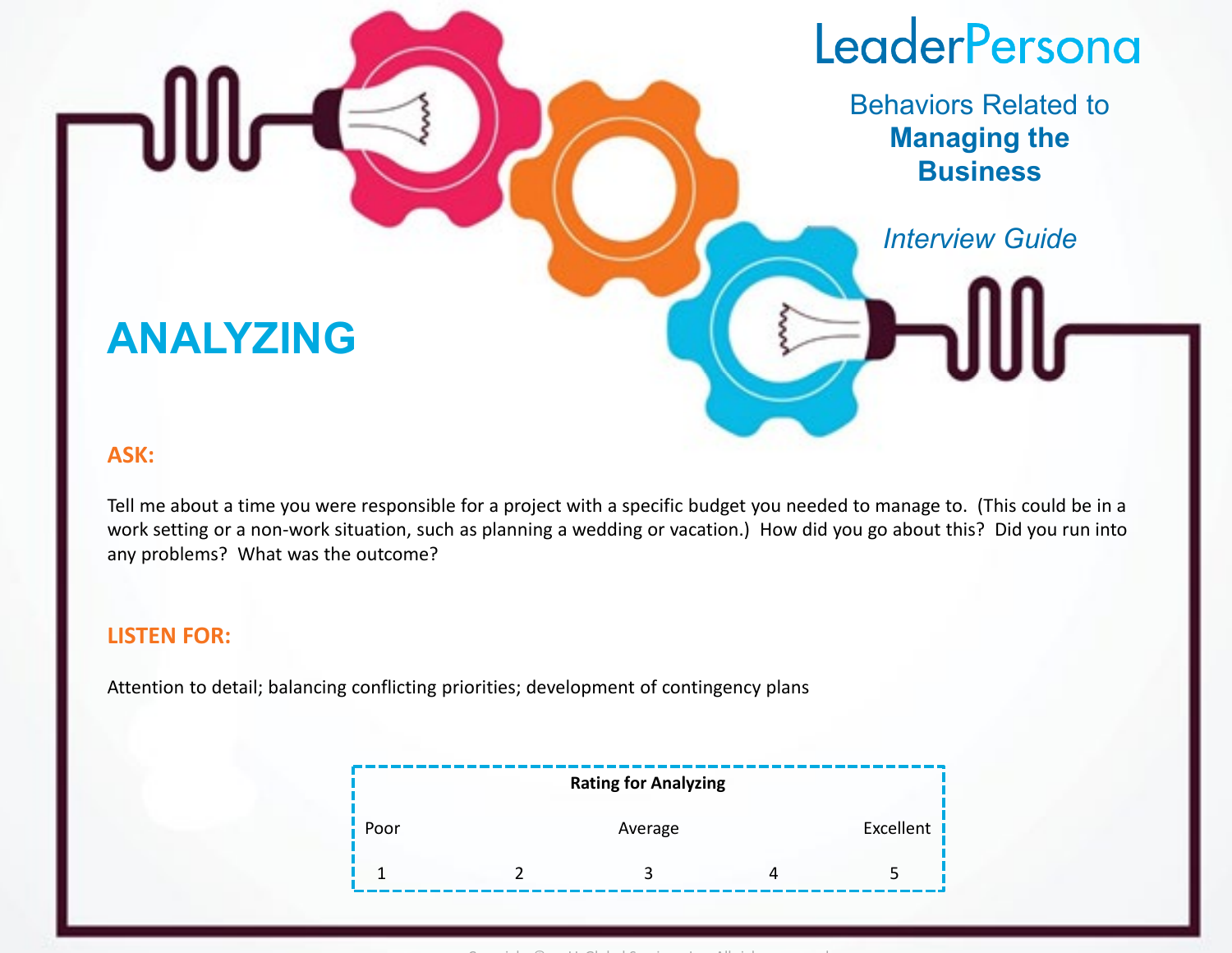Behaviors Related to **Managing the Business**

*Interview Guide*

### **ANALYZING**

#### **ASK:**

Tell me about a time you were responsible for a project with a specific budget you needed to manage to. (This could be in a work setting or a non-work situation, such as planning a wedding or vacation.) How did you go about this? Did you run into any problems? What was the outcome?

#### **LISTEN FOR:**

Attention to detail; balancing conflicting priorities; development of contingency plans

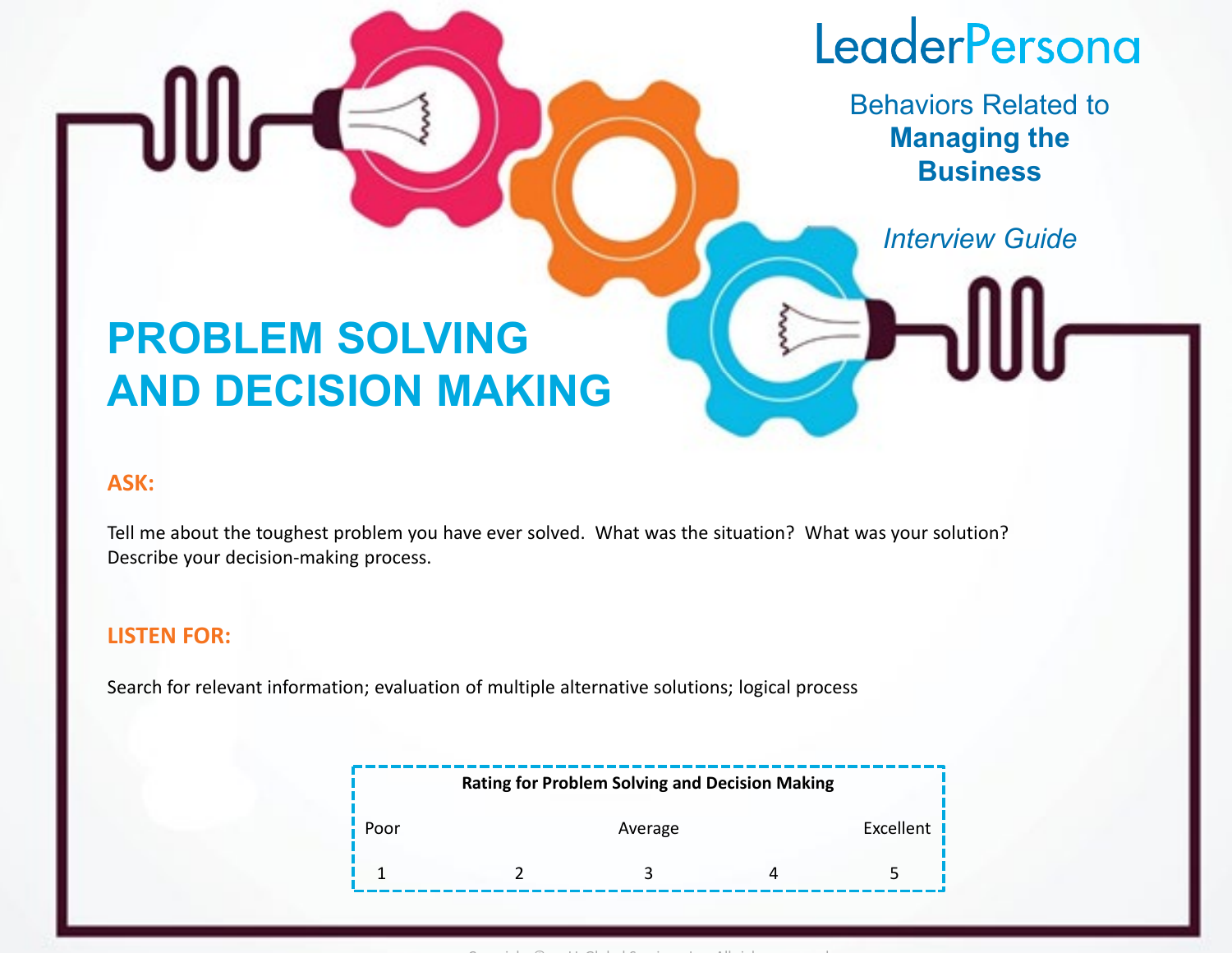Behaviors Related to **Managing the Business**

*Interview Guide*

## **PROBLEM SOLVING AND DECISION MAKING**

#### **ASK:**

Tell me about the toughest problem you have ever solved. What was the situation? What was your solution? Describe your decision-making process.

#### **LISTEN FOR:**

Search for relevant information; evaluation of multiple alternative solutions; logical process